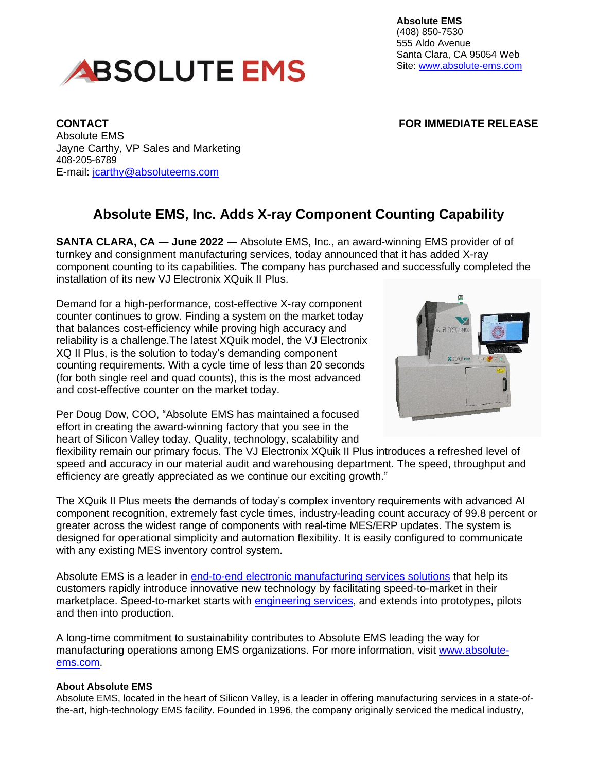

**Absolute EMS** (408) 850-7530 555 Aldo Avenue Santa Clara, CA 95054 Web Site: [www.absolute-ems.com](http://www.absolute-ems.com/)

## **CONTACT FOR IMMEDIATE RELEASE**

Absolute EMS Jayne Carthy, VP Sales and Marketing 408-205-6789 E-mail: [jcarthy@absoluteems.com](mailto:jcarthy@absoluteems.com)

## **Absolute EMS, Inc. Adds X-ray Component Counting Capability**

**SANTA CLARA, CA ― June 2022 ―** Absolute EMS, Inc., an award-winning EMS provider of of turnkey and consignment manufacturing services, today announced that it has added X-ray component counting to its capabilities. The company has purchased and successfully completed the installation of its new VJ Electronix XQuik II Plus.

Demand for a high-performance, cost-effective X-ray component counter continues to grow. Finding a system on the market today that balances cost-efficiency while proving high accuracy and reliability is a challenge.The latest XQuik model, the VJ Electronix XQ II Plus, is the solution to today's demanding component counting requirements. With a cycle time of less than 20 seconds (for both single reel and quad counts), this is the most advanced and cost-effective counter on the market today.



Per Doug Dow, COO, "Absolute EMS has maintained a focused effort in creating the award-winning factory that you see in the heart of Silicon Valley today. Quality, technology, scalability and

flexibility remain our primary focus. The VJ Electronix XQuik II Plus introduces a refreshed level of speed and accuracy in our material audit and warehousing department. The speed, throughput and efficiency are greatly appreciated as we continue our exciting growth."

The XQuik II Plus meets the demands of today's complex inventory requirements with advanced AI component recognition, extremely fast cycle times, industry-leading count accuracy of 99.8 percent or greater across the widest range of components with real-time MES/ERP updates. The system is designed for operational simplicity and automation flexibility. It is easily configured to communicate with any existing MES inventory control system.

Absolute EMS is a leader in [end-to-end electronic manufacturing services](http://absoluteems.com/seamless-execution/) solutions that help its customers rapidly introduce innovative new technology by facilitating speed-to-market in their marketplace. Speed-to-market starts with [engineering services,](http://absoluteems.com/engineering/) and extends into prototypes, pilots and then into production.

A long-time commitment to sustainability contributes to Absolute EMS leading the way for manufacturing operations among EMS organizations. For more information, visit [www.absolute](http://www.absolute-ems.com/)[ems.com.](http://www.absolute-ems.com/)

## **About Absolute EMS**

Absolute EMS, located in the heart of Silicon Valley, is a leader in offering manufacturing services in a state-ofthe-art, high-technology EMS facility. Founded in 1996, the company originally serviced the medical industry,